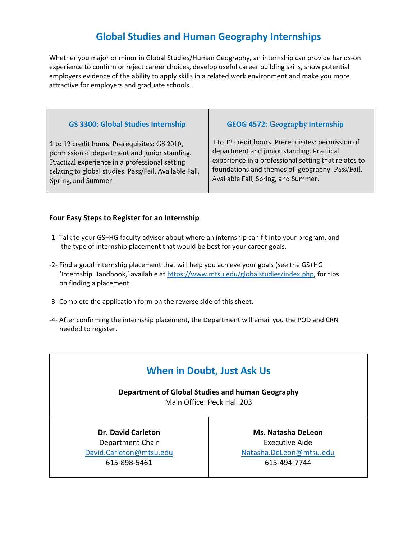## **Global Studies and Human Geography Internships**

Whether you major or minor in Global Studies/Human Geography, an internship can provide hands-on experience to confirm or reject career choices, develop useful career building skills, show potential employers evidence of the ability to apply skills in a related work environment and make you more attractive for employers and graduate schools.

#### **GS 3300: Global Studies Internship**

1 to 12 credit hours. Prerequisites: GS 2010, permission of department and junior standing. Practical experience in a professional setting relating to global studies. Pass/Fail. Available Fall, Spring, and Summer.

#### **GEOG 4572: Geography Internship**

1 to 12 credit hours. Prerequisites: permission of department and junior standing. Practical experience in a professional setting that relates to foundations and themes of geography. Pass/Fail. Available Fall, Spring, and Summer.

#### **Four Easy Steps to Register for an Internship**

- -1- Talk to your GS+HG faculty adviser about where an internship can fit into your program, and the type of internship placement that would be best for your career goals.
- -2- Find a good internship placement that will help you achieve your goals (see the GS+HG 'Internship Handbook,' available at https://www.mtsu.edu/globalstudies/index.php, for tips on finding a placement.
- -3- Complete the application form on the reverse side of this sheet.
- -4- After confirming the internship placement, the Department will email you the POD and CRN needed to register.

## **When in Doubt, Just Ask Us**

**Department of Global Studies and human Geography** Main Office: Peck Hall 203

**Dr. David Carleton** Department Chair David.Carleton@mtsu.edu 615-898-5461

**Ms. Natasha DeLeon**  Executive Aide Natasha.DeLeon@mtsu.edu 615-494-7744